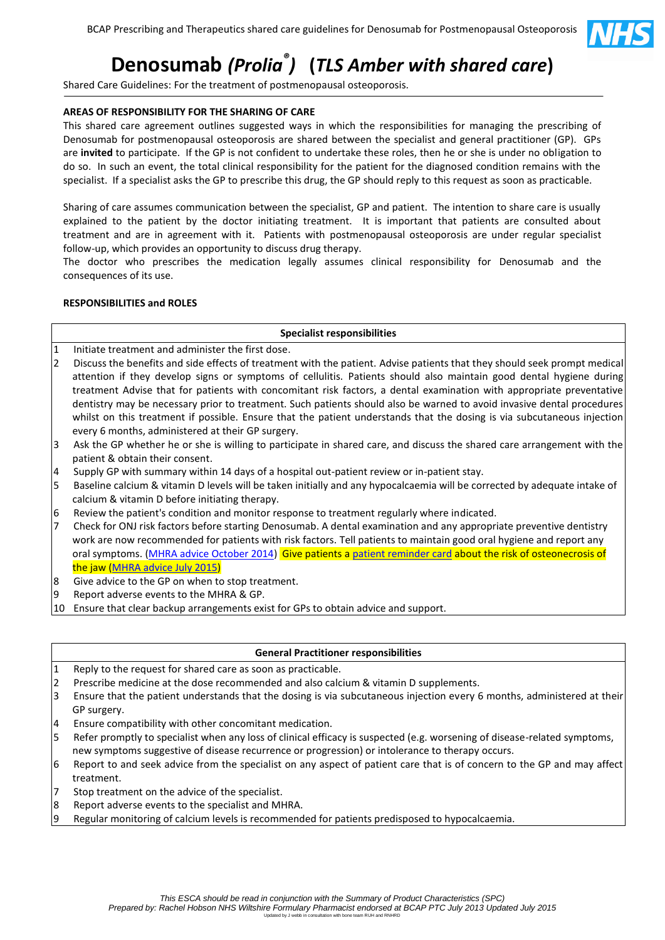

# **Denosumab** *(Prolia® )* **(***TLS Amber with shared care***)**

Shared Care Guidelines: For the treatment of postmenopausal osteoporosis.

## **AREAS OF RESPONSIBILITY FOR THE SHARING OF CARE**

This shared care agreement outlines suggested ways in which the responsibilities for managing the prescribing of Denosumab for postmenopausal osteoporosis are shared between the specialist and general practitioner (GP). GPs are **invited** to participate. If the GP is not confident to undertake these roles, then he or she is under no obligation to do so. In such an event, the total clinical responsibility for the patient for the diagnosed condition remains with the specialist. If a specialist asks the GP to prescribe this drug, the GP should reply to this request as soon as practicable.

Sharing of care assumes communication between the specialist, GP and patient. The intention to share care is usually explained to the patient by the doctor initiating treatment. It is important that patients are consulted about treatment and are in agreement with it. Patients with postmenopausal osteoporosis are under regular specialist follow-up, which provides an opportunity to discuss drug therapy.

The doctor who prescribes the medication legally assumes clinical responsibility for Denosumab and the consequences of its use.

## **RESPONSIBILITIES and ROLES**

#### **Specialist responsibilities**

- 1 Initiate treatment and administer the first dose.
- 2 Discuss the benefits and side effects of treatment with the patient. Advise patients that they should seek prompt medical attention if they develop signs or symptoms of cellulitis. Patients should also maintain good dental hygiene during treatment Advise that for patients with concomitant risk factors, a dental examination with appropriate preventative dentistry may be necessary prior to treatment. Such patients should also be warned to avoid invasive dental procedures whilst on this treatment if possible. Ensure that the patient understands that the dosing is via subcutaneous injection every 6 months, administered at their GP surgery.
- 3 Ask the GP whether he or she is willing to participate in shared care, and discuss the shared care arrangement with the patient & obtain their consent.
- 4 Supply GP with summary within 14 days of a hospital out-patient review or in-patient stay.
- 5 Baseline calcium & vitamin D levels will be taken initially and any hypocalcaemia will be corrected by adequate intake of calcium & vitamin D before initiating therapy.
- 6 Review the patient's condition and monitor response to treatment regularly where indicated.
- 7 Check for ONJ risk factors before starting Denosumab. A dental examination and any appropriate preventive dentistry work are now recommended for patients with risk factors. Tell patients to maintain good oral hygiene and report any oral symptoms. [\(MHRA advice October 2014\)](https://www.gov.uk/drug-safety-update/denosumab-updated-recommendations) Give patients [a patient reminder card](https://assets.digital.cabinet-office.gov.uk/media/55a66d9eed915d151b000003/AMGEN_PROLIA_patient_card.pdf) about the risk of osteonecrosis of the jaw [\(MHRA advice July 2015\)](https://www.gov.uk/drug-safety-update/denosumab-xgeva-prolia-intravenous-bisphosphonates-osteonecrosis-of-the-jaw-further-measures-to-minimise-risk#patient-reminder-cards-and-denosumab-120-mg-contraindication)
- 8 Give advice to the GP on when to stop treatment.
- 9 Report adverse events to the MHRA & GP.
- 10 Ensure that clear backup arrangements exist for GPs to obtain advice and support.

#### **General Practitioner responsibilities**

- 1 Reply to the request for shared care as soon as practicable.
- 2 Prescribe medicine at the dose recommended and also calcium & vitamin D supplements.
- 3 Ensure that the patient understands that the dosing is via subcutaneous injection every 6 months, administered at their GP surgery.
- 4 Ensure compatibility with other concomitant medication.
- 5 Refer promptly to specialist when any loss of clinical efficacy is suspected (e.g. worsening of disease-related symptoms, new symptoms suggestive of disease recurrence or progression) or intolerance to therapy occurs.
- 6 Report to and seek advice from the specialist on any aspect of patient care that is of concern to the GP and may affect treatment.
- 7 Stop treatment on the advice of the specialist.
- 8 Report adverse events to the specialist and MHRA.
- Regular monitoring of calcium levels is recommended for patients predisposed to hypocalcaemia.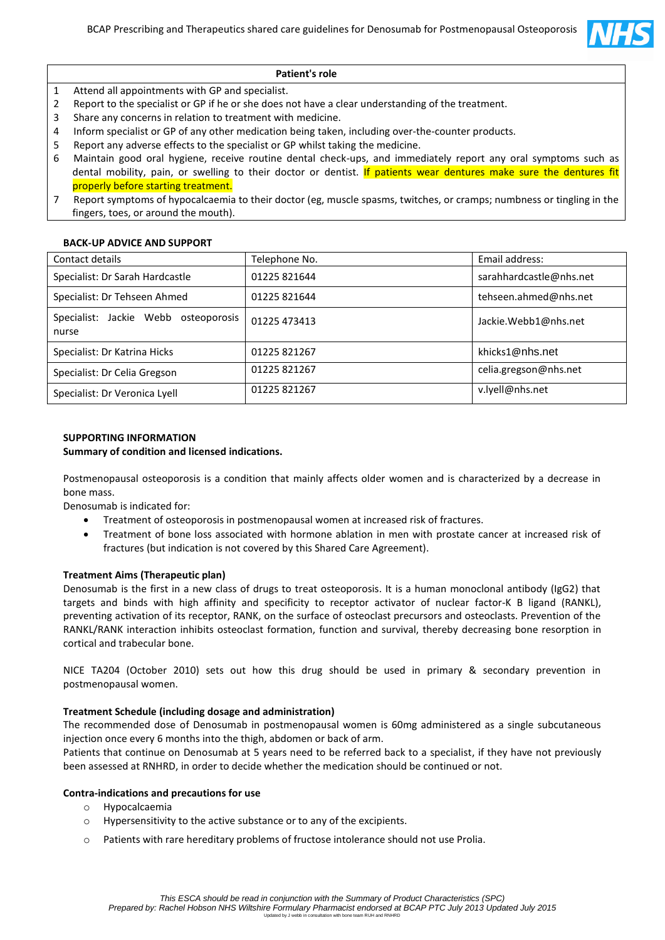

## **Patient's role**

- 1 Attend all appointments with GP and specialist.
- 2 Report to the specialist or GP if he or she does not have a clear understanding of the treatment.
- 3 Share any concerns in relation to treatment with medicine.
- 4 Inform specialist or GP of any other medication being taken, including over-the-counter products.
- 5 Report any adverse effects to the specialist or GP whilst taking the medicine.
- 6 Maintain good oral hygiene, receive routine dental check-ups, and immediately report any oral symptoms such as dental mobility, pain, or swelling to their doctor or dentist. If patients wear dentures make sure the dentures fit properly before starting treatment.
- 7 Report symptoms of hypocalcaemia to their doctor (eg, muscle spasms, twitches, or cramps; numbness or tingling in the fingers, toes, or around the mouth).

#### **BACK-UP ADVICE AND SUPPORT**

| Contact details                                  | Telephone No. | Email address:          |
|--------------------------------------------------|---------------|-------------------------|
| Specialist: Dr Sarah Hardcastle                  | 01225821644   | sarahhardcastle@nhs.net |
| Specialist: Dr Tehseen Ahmed                     | 01225 821644  | tehseen.ahmed@nhs.net   |
| Specialist: Jackie Webb<br>osteoporosis<br>nurse | 01225 473413  | Jackie.Webb1@nhs.net    |
| Specialist: Dr Katrina Hicks                     | 01225821267   | khicks1@nhs.net         |
| Specialist: Dr Celia Gregson                     | 01225 821267  | celia.gregson@nhs.net   |
| Specialist: Dr Veronica Lyell                    | 01225 821267  | v.lyell@nhs.net         |
|                                                  |               |                         |

#### **SUPPORTING INFORMATION**

#### **Summary of condition and licensed indications.**

Postmenopausal osteoporosis is a condition that mainly affects older women and is characterized by a decrease in bone mass.

Denosumab is indicated for:

- Treatment of osteoporosis in postmenopausal women at increased risk of fractures.
- Treatment of bone loss associated with hormone ablation in men with prostate cancer at increased risk of fractures (but indication is not covered by this Shared Care Agreement).

#### **Treatment Aims (Therapeutic plan)**

Denosumab is the first in a new class of drugs to treat osteoporosis. It is a human monoclonal antibody (IgG2) that targets and binds with high affinity and specificity to receptor activator of nuclear factor-K B ligand (RANKL), preventing activation of its receptor, RANK, on the surface of osteoclast precursors and osteoclasts. Prevention of the RANKL/RANK interaction inhibits osteoclast formation, function and survival, thereby decreasing bone resorption in cortical and trabecular bone.

NICE TA204 (October 2010) sets out how this drug should be used in primary & secondary prevention in postmenopausal women.

#### **Treatment Schedule (including dosage and administration)**

The recommended dose of Denosumab in postmenopausal women is 60mg administered as a single subcutaneous injection once every 6 months into the thigh, abdomen or back of arm.

Patients that continue on Denosumab at 5 years need to be referred back to a specialist, if they have not previously been assessed at RNHRD, in order to decide whether the medication should be continued or not.

#### **Contra-indications and precautions for use**

- o Hypocalcaemia
- o Hypersensitivity to the active substance or to any of the excipients.
- o Patients with rare hereditary problems of fructose intolerance should not use Prolia.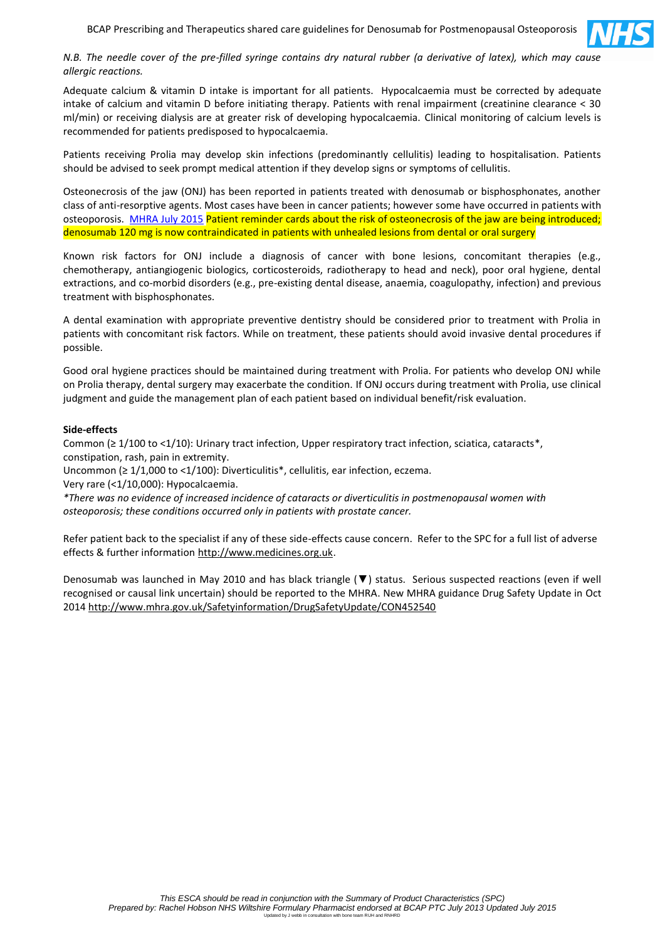

#### *N.B. The needle cover of the pre-filled syringe contains dry natural rubber (a derivative of latex), which may cause allergic reactions.*

Adequate calcium & vitamin D intake is important for all patients. Hypocalcaemia must be corrected by adequate intake of calcium and vitamin D before initiating therapy. Patients with renal impairment (creatinine clearance < 30 ml/min) or receiving dialysis are at greater risk of developing hypocalcaemia. Clinical monitoring of calcium levels is recommended for patients predisposed to hypocalcaemia.

Patients receiving Prolia may develop skin infections (predominantly cellulitis) leading to hospitalisation. Patients should be advised to seek prompt medical attention if they develop signs or symptoms of cellulitis.

Osteonecrosis of the jaw (ONJ) has been reported in patients treated with denosumab or bisphosphonates, another class of anti-resorptive agents. Most cases have been in cancer patients; however some have occurred in patients with osteoporosis. [MHRA July 2015](https://www.gov.uk/drug-safety-update/denosumab-xgeva-prolia-intravenous-bisphosphonates-osteonecrosis-of-the-jaw-further-measures-to-minimise-risk#patient-reminder-cards-and-denosumab-120-mg-contraindication) Patient reminder cards about the risk of osteonecrosis of the jaw are being introduced; denosumab 120 mg is now contraindicated in patients with unhealed lesions from dental or oral surgery

Known risk factors for ONJ include a diagnosis of cancer with bone lesions, concomitant therapies (e.g., chemotherapy, antiangiogenic biologics, corticosteroids, radiotherapy to head and neck), poor oral hygiene, dental extractions, and co-morbid disorders (e.g., pre-existing dental disease, anaemia, coagulopathy, infection) and previous treatment with bisphosphonates.

A dental examination with appropriate preventive dentistry should be considered prior to treatment with Prolia in patients with concomitant risk factors. While on treatment, these patients should avoid invasive dental procedures if possible.

Good oral hygiene practices should be maintained during treatment with Prolia. For patients who develop ONJ while on Prolia therapy, dental surgery may exacerbate the condition. If ONJ occurs during treatment with Prolia, use clinical judgment and guide the management plan of each patient based on individual benefit/risk evaluation.

#### **Side-effects**

Common (≥ 1/100 to <1/10): Urinary tract infection, Upper respiratory tract infection, sciatica, cataracts\*, constipation, rash, pain in extremity.

Uncommon (≥ 1/1,000 to <1/100): Diverticulitis\*, cellulitis, ear infection, eczema.

Very rare (<1/10,000): Hypocalcaemia.

*\*There was no evidence of increased incidence of cataracts or diverticulitis in postmenopausal women with osteoporosis; these conditions occurred only in patients with prostate cancer.*

Refer patient back to the specialist if any of these side-effects cause concern. Refer to the SPC for a full list of adverse effects & further information [http://www.medicines.org.uk.](http://www.medicines.org.uk/)

Denosumab was launched in May 2010 and has black triangle (▼) status. Serious suspected reactions (even if well recognised or causal link uncertain) should be reported to the MHRA. New MHRA guidance Drug Safety Update in Oct 2014<http://www.mhra.gov.uk/Safetyinformation/DrugSafetyUpdate/CON452540>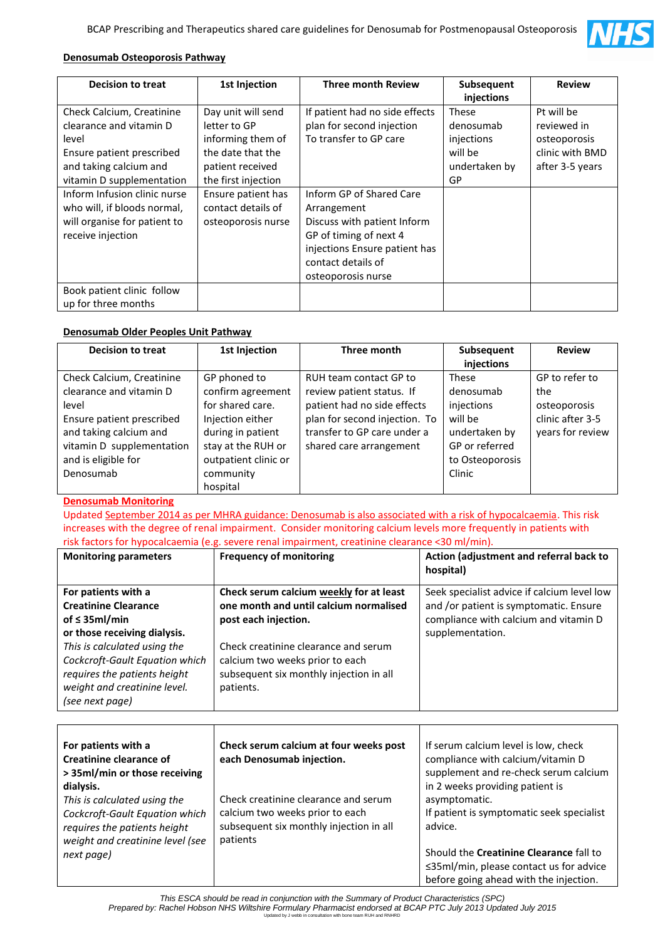

# **Denosumab Osteoporosis Pathway**

| <b>Decision to treat</b>                                                                                                                          | 1st Injection                                                                                                           | <b>Three month Review</b>                                                                                                                                                     | Subsequent<br>injections                                                  | <b>Review</b>                                                                   |
|---------------------------------------------------------------------------------------------------------------------------------------------------|-------------------------------------------------------------------------------------------------------------------------|-------------------------------------------------------------------------------------------------------------------------------------------------------------------------------|---------------------------------------------------------------------------|---------------------------------------------------------------------------------|
| Check Calcium, Creatinine<br>clearance and vitamin D<br>level<br>Ensure patient prescribed<br>and taking calcium and<br>vitamin D supplementation | Day unit will send<br>letter to GP<br>informing them of<br>the date that the<br>patient received<br>the first injection | If patient had no side effects<br>plan for second injection<br>To transfer to GP care                                                                                         | <b>These</b><br>denosumab<br>injections<br>will be<br>undertaken by<br>GP | Pt will be<br>reviewed in<br>osteoporosis<br>clinic with BMD<br>after 3-5 years |
| Inform Infusion clinic nurse<br>who will, if bloods normal,<br>will organise for patient to<br>receive injection                                  | Ensure patient has<br>contact details of<br>osteoporosis nurse                                                          | Inform GP of Shared Care<br>Arrangement<br>Discuss with patient Inform<br>GP of timing of next 4<br>injections Ensure patient has<br>contact details of<br>osteoporosis nurse |                                                                           |                                                                                 |
| Book patient clinic follow<br>up for three months                                                                                                 |                                                                                                                         |                                                                                                                                                                               |                                                                           |                                                                                 |

# **Denosumab Older Peoples Unit Pathway**

| <b>Decision to treat</b>  | <b>1st Injection</b> | Three month                   | Subsequent      | <b>Review</b>    |
|---------------------------|----------------------|-------------------------------|-----------------|------------------|
|                           |                      |                               | injections      |                  |
| Check Calcium, Creatinine | GP phoned to         | RUH team contact GP to        | <b>These</b>    | GP to refer to   |
| clearance and vitamin D   | confirm agreement    | review patient status. If     | denosumab       | the              |
| level                     | for shared care.     | patient had no side effects   | injections      | osteoporosis     |
| Ensure patient prescribed | Injection either     | plan for second injection. To | will be         | clinic after 3-5 |
| and taking calcium and    | during in patient    | transfer to GP care under a   | undertaken by   | years for review |
| vitamin D supplementation | stay at the RUH or   | shared care arrangement       | GP or referred  |                  |
| and is eligible for       | outpatient clinic or |                               | to Osteoporosis |                  |
| Denosumab                 | community            |                               | Clinic          |                  |
|                           | hospital             |                               |                 |                  |

#### **Denosumab Monitoring**

Updated [September 2014 as per MHRA guidance: Denosumab is also associated with a risk of hypocalcaemia.](https://www.gov.uk/drug-safety-update/denosumab-updated-recommendations) This risk increases with the degree of renal impairment. Consider monitoring calcium levels more frequently in patients with risk factors for hypocalcaemia (e.g. severe renal impairment, creatinine clearance <30 ml/min).

| <b>Monitoring parameters</b>                                             | <b>Frequency of monitoring</b>                                                                            | Action (adjustment and referral back to<br>hospital)                                                                           |
|--------------------------------------------------------------------------|-----------------------------------------------------------------------------------------------------------|--------------------------------------------------------------------------------------------------------------------------------|
| For patients with a<br><b>Creatinine Clearance</b><br>of $\leq$ 35ml/min | Check serum calcium weekly for at least<br>one month and until calcium normalised<br>post each injection. | Seek specialist advice if calcium level low<br>and /or patient is symptomatic. Ensure<br>compliance with calcium and vitamin D |
| or those receiving dialysis.                                             |                                                                                                           | supplementation.                                                                                                               |
| This is calculated using the                                             | Check creatinine clearance and serum                                                                      |                                                                                                                                |
| Cockcroft-Gault Equation which<br>requires the patients height           | calcium two weeks prior to each<br>subsequent six monthly injection in all                                |                                                                                                                                |
| weight and creatinine level.                                             | patients.                                                                                                 |                                                                                                                                |
| (see next page)                                                          |                                                                                                           |                                                                                                                                |

| For patients with a<br>Creatinine clearance of<br>> 35ml/min or those receiving | Check serum calcium at four weeks post<br>each Denosumab injection.                                                | If serum calcium level is low, check<br>compliance with calcium/vitamin D<br>supplement and re-check serum calcium                 |
|---------------------------------------------------------------------------------|--------------------------------------------------------------------------------------------------------------------|------------------------------------------------------------------------------------------------------------------------------------|
| dialysis.<br>This is calculated using the<br>Cockcroft-Gault Equation which     | Check creatinine clearance and serum<br>calcium two weeks prior to each<br>subsequent six monthly injection in all | in 2 weeks providing patient is<br>asymptomatic.<br>If patient is symptomatic seek specialist<br>advice.                           |
| requires the patients height<br>weight and creatinine level (see<br>next page)  | patients                                                                                                           | Should the Creatinine Clearance fall to<br>$\leq$ 35ml/min, please contact us for advice<br>before going ahead with the injection. |

*This ESCA should be read in conjunction with the Summary of Product Characteristics (SPC) Prepared by: Rachel Hobson NHS Wiltshire Formulary Pharmacist endorsed at BCAP PTC July 2013 Updated July 2015* Updated by J webb in consultation with bone team RUH and RNHRD